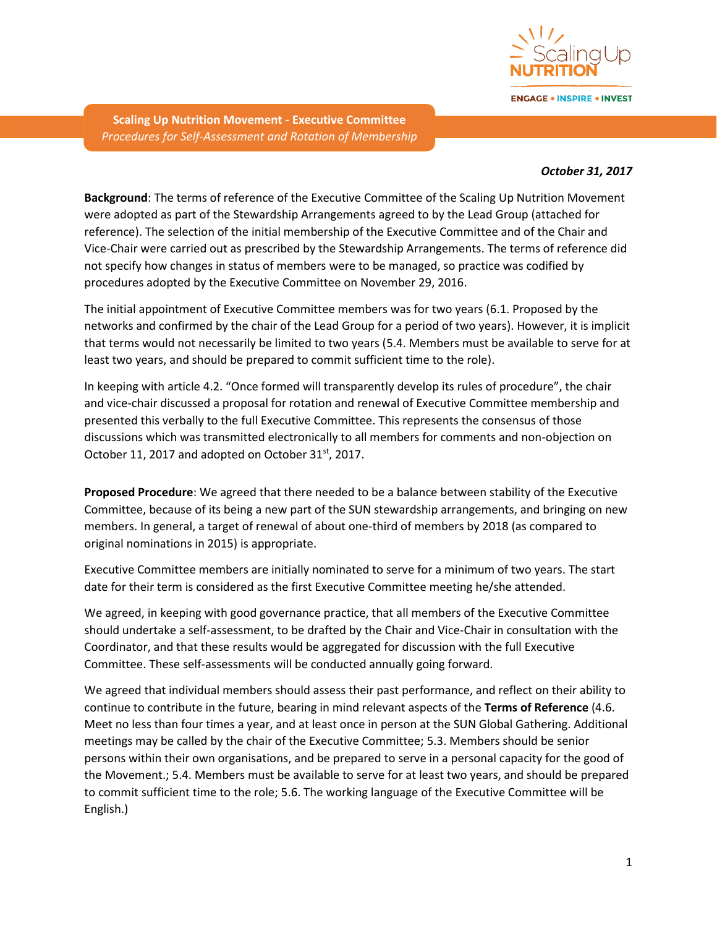

**ENGAGE . INSPIRE . INVEST** 

**Scaling Up Nutrition Movement - Executive Committee** *Procedures for Self-Assessment and Rotation of Membership*

## *October 31, 2017*

**Background**: The terms of reference of the Executive Committee of the Scaling Up Nutrition Movement were adopted as part of the Stewardship Arrangements agreed to by the Lead Group (attached for reference). The selection of the initial membership of the Executive Committee and of the Chair and Vice-Chair were carried out as prescribed by the Stewardship Arrangements. The terms of reference did not specify how changes in status of members were to be managed, so practice was codified by procedures adopted by the Executive Committee on November 29, 2016.

The initial appointment of Executive Committee members was for two years (6.1. Proposed by the networks and confirmed by the chair of the Lead Group for a period of two years). However, it is implicit that terms would not necessarily be limited to two years (5.4. Members must be available to serve for at least two years, and should be prepared to commit sufficient time to the role).

In keeping with article 4.2. "Once formed will transparently develop its rules of procedure", the chair and vice-chair discussed a proposal for rotation and renewal of Executive Committee membership and presented this verbally to the full Executive Committee. This represents the consensus of those discussions which was transmitted electronically to all members for comments and non-objection on October 11, 2017 and adopted on October 31<sup>st</sup>, 2017.

**Proposed Procedure**: We agreed that there needed to be a balance between stability of the Executive Committee, because of its being a new part of the SUN stewardship arrangements, and bringing on new members. In general, a target of renewal of about one-third of members by 2018 (as compared to original nominations in 2015) is appropriate.

Executive Committee members are initially nominated to serve for a minimum of two years. The start date for their term is considered as the first Executive Committee meeting he/she attended.

We agreed, in keeping with good governance practice, that all members of the Executive Committee should undertake a self-assessment, to be drafted by the Chair and Vice-Chair in consultation with the Coordinator, and that these results would be aggregated for discussion with the full Executive Committee. These self-assessments will be conducted annually going forward.

We agreed that individual members should assess their past performance, and reflect on their ability to continue to contribute in the future, bearing in mind relevant aspects of the **Terms of Reference** (4.6. Meet no less than four times a year, and at least once in person at the SUN Global Gathering. Additional meetings may be called by the chair of the Executive Committee; 5.3. Members should be senior persons within their own organisations, and be prepared to serve in a personal capacity for the good of the Movement.; 5.4. Members must be available to serve for at least two years, and should be prepared to commit sufficient time to the role; 5.6. The working language of the Executive Committee will be English.)